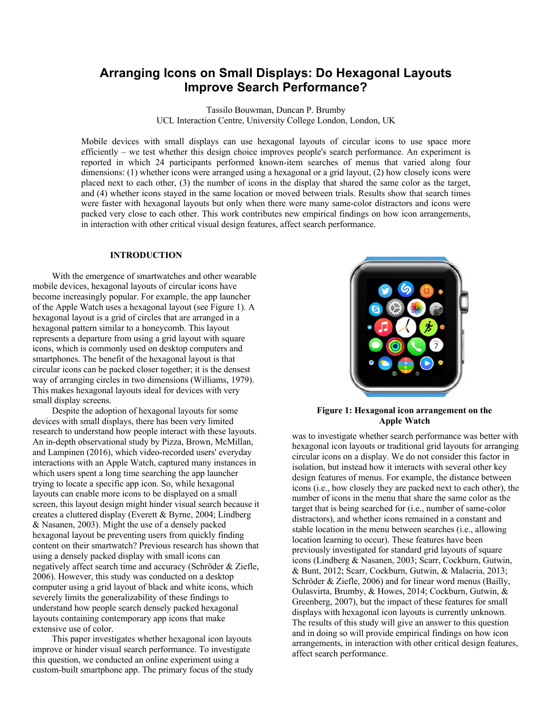# **Arranging Icons on Small Displays: Do Hexagonal Layouts Improve Search Performance?**

Tassilo Bouwman, Duncan P. Brumby UCL Interaction Centre, University College London, London, UK

Mobile devices with small displays can use hexagonal layouts of circular icons to use space more efficiently – we test whether this design choice improves people's search performance. An experiment is reported in which 24 participants performed known-item searches of menus that varied along four dimensions: (1) whether icons were arranged using a hexagonal or a grid layout, (2) how closely icons were placed next to each other, (3) the number of icons in the display that shared the same color as the target, and (4) whether icons stayed in the same location or moved between trials. Results show that search times were faster with hexagonal layouts but only when there were many same-color distractors and icons were packed very close to each other. This work contributes new empirical findings on how icon arrangements, in interaction with other critical visual design features, affect search performance.

#### **INTRODUCTION**

With the emergence of smartwatches and other wearable mobile devices, hexagonal layouts of circular icons have become increasingly popular. For example, the app launcher of the Apple Watch uses a hexagonal layout (see Figure 1). A hexagonal layout is a grid of circles that are arranged in a hexagonal pattern similar to a honeycomb. This layout represents a departure from using a grid layout with square icons, which is commonly used on desktop computers and smartphones. The benefit of the hexagonal layout is that circular icons can be packed closer together; it is the densest way of arranging circles in two dimensions (Williams, 1979). This makes hexagonal layouts ideal for devices with very small display screens.

Despite the adoption of hexagonal layouts for some devices with small displays, there has been very limited research to understand how people interact with these layouts. An in-depth observational study by Pizza, Brown, McMillan, and Lampinen (2016), which video-recorded users' everyday interactions with an Apple Watch, captured many instances in which users spent a long time searching the app launcher trying to locate a specific app icon. So, while hexagonal layouts can enable more icons to be displayed on a small screen, this layout design might hinder visual search because it creates a cluttered display (Everett & Byrne, 2004; Lindberg & Nasanen, 2003). Might the use of a densely packed hexagonal layout be preventing users from quickly finding content on their smartwatch? Previous research has shown that using a densely packed display with small icons can negatively affect search time and accuracy (Schröder & Ziefle, 2006). However, this study was conducted on a desktop computer using a grid layout of black and white icons, which severely limits the generalizability of these findings to understand how people search densely packed hexagonal layouts containing contemporary app icons that make extensive use of color.

This paper investigates whether hexagonal icon layouts improve or hinder visual search performance. To investigate this question, we conducted an online experiment using a custom-built smartphone app. The primary focus of the study



**Figure 1: Hexagonal icon arrangement on the Apple Watch**

was to investigate whether search performance was better with hexagonal icon layouts or traditional grid layouts for arranging circular icons on a display. We do not consider this factor in isolation, but instead how it interacts with several other key design features of menus. For example, the distance between icons (i.e., how closely they are packed next to each other), the number of icons in the menu that share the same color as the target that is being searched for (i.e., number of same-color distractors), and whether icons remained in a constant and stable location in the menu between searches (i.e., allowing location learning to occur). These features have been previously investigated for standard grid layouts of square icons (Lindberg & Nasanen, 2003; Scarr, Cockburn, Gutwin, & Bunt, 2012; Scarr, Cockburn, Gutwin, & Malacria, 2013; Schröder & Ziefle, 2006) and for linear word menus (Bailly, Oulasvirta, Brumby, & Howes, 2014; Cockburn, Gutwin, & Greenberg, 2007), but the impact of these features for small displays with hexagonal icon layouts is currently unknown. The results of this study will give an answer to this question and in doing so will provide empirical findings on how icon arrangements, in interaction with other critical design features, affect search performance.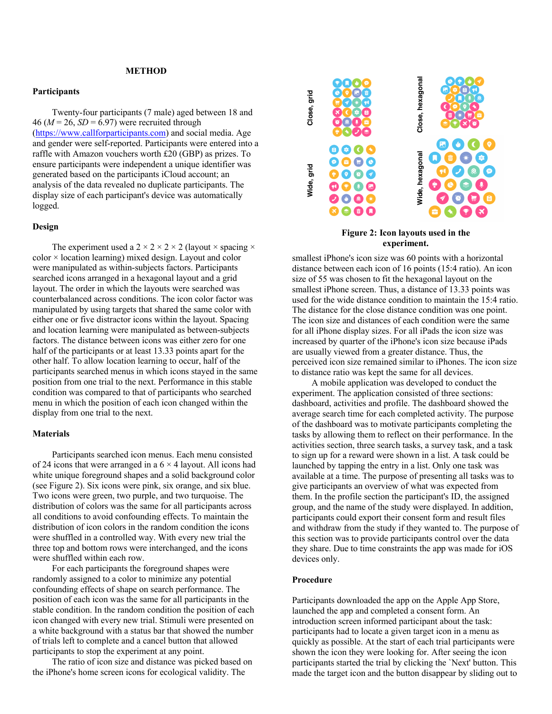# **METHOD**

## **Participants**

Twenty-four participants (7 male) aged between 18 and 46 ( $M = 26$ ,  $SD = 6.97$ ) were recruited through (https://www.callforparticipants.com) and social media. Age and gender were self-reported. Participants were entered into a raffle with Amazon vouchers worth £20 (GBP) as prizes. To ensure participants were independent a unique identifier was generated based on the participants iCloud account; an analysis of the data revealed no duplicate participants. The display size of each participant's device was automatically logged.

# **Design**

The experiment used a  $2 \times 2 \times 2 \times 2$  (layout  $\times$  spacing  $\times$ color × location learning) mixed design. Layout and color were manipulated as within-subjects factors. Participants searched icons arranged in a hexagonal layout and a grid layout. The order in which the layouts were searched was counterbalanced across conditions. The icon color factor was manipulated by using targets that shared the same color with either one or five distractor icons within the layout. Spacing and location learning were manipulated as between-subjects factors. The distance between icons was either zero for one half of the participants or at least 13.33 points apart for the other half. To allow location learning to occur, half of the participants searched menus in which icons stayed in the same position from one trial to the next. Performance in this stable condition was compared to that of participants who searched menu in which the position of each icon changed within the display from one trial to the next.

## **Materials**

Participants searched icon menus. Each menu consisted of 24 icons that were arranged in a  $6 \times 4$  layout. All icons had white unique foreground shapes and a solid background color (see Figure 2). Six icons were pink, six orange, and six blue. Two icons were green, two purple, and two turquoise. The distribution of colors was the same for all participants across all conditions to avoid confounding effects. To maintain the distribution of icon colors in the random condition the icons were shuffled in a controlled way. With every new trial the three top and bottom rows were interchanged, and the icons were shuffled within each row.

For each participants the foreground shapes were randomly assigned to a color to minimize any potential confounding effects of shape on search performance. The position of each icon was the same for all participants in the stable condition. In the random condition the position of each icon changed with every new trial. Stimuli were presented on a white background with a status bar that showed the number of trials left to complete and a cancel button that allowed participants to stop the experiment at any point.

The ratio of icon size and distance was picked based on the iPhone's home screen icons for ecological validity. The



# **Figure 2: Icon layouts used in the experiment.**

smallest iPhone's icon size was 60 points with a horizontal distance between each icon of 16 points (15:4 ratio). An icon size of 55 was chosen to fit the hexagonal layout on the smallest iPhone screen. Thus, a distance of 13.33 points was used for the wide distance condition to maintain the 15:4 ratio. The distance for the close distance condition was one point. The icon size and distances of each condition were the same for all iPhone display sizes. For all iPads the icon size was increased by quarter of the iPhone's icon size because iPads are usually viewed from a greater distance. Thus, the perceived icon size remained similar to iPhones. The icon size to distance ratio was kept the same for all devices.

A mobile application was developed to conduct the experiment. The application consisted of three sections: dashboard, activities and profile. The dashboard showed the average search time for each completed activity. The purpose of the dashboard was to motivate participants completing the tasks by allowing them to reflect on their performance. In the activities section, three search tasks, a survey task, and a task to sign up for a reward were shown in a list. A task could be launched by tapping the entry in a list. Only one task was available at a time. The purpose of presenting all tasks was to give participants an overview of what was expected from them. In the profile section the participant's ID, the assigned group, and the name of the study were displayed. In addition, participants could export their consent form and result files and withdraw from the study if they wanted to. The purpose of this section was to provide participants control over the data they share. Due to time constraints the app was made for iOS devices only. **Example the target is and the target is a computer of the target is a computer of the target in the smallest iPhone sizon and the target in the computer of the computer of the computer of the the target in the smallest i** 

# **Procedure**

Participants downloaded the app on the Apple App Store, launched the app and completed a consent form. An introduction screen informed participant about the task: participants had to locate a given target icon in a menu as quickly as possible. At the start of each trial participants were shown the icon they were looking for. After seeing the icon participants started the trial by clicking the `Next' button. This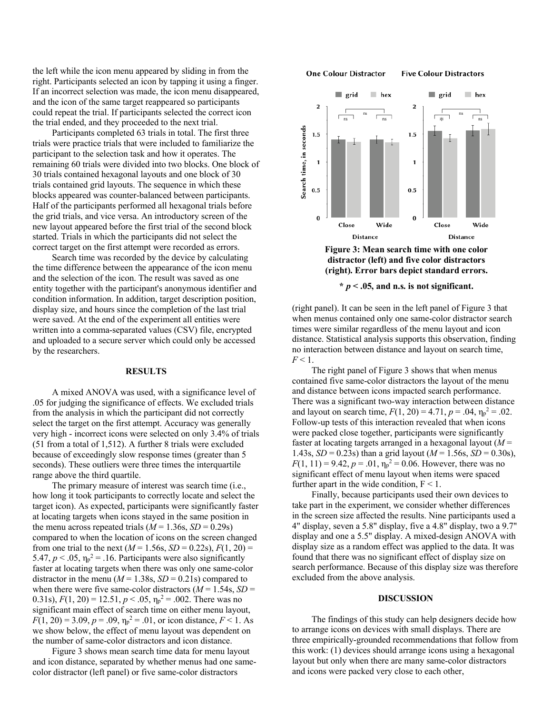the left while the icon menu appeared by sliding in from the right. Participants selected an icon by tapping it using a finger. If an incorrect selection was made, the icon menu disappeared, and the icon of the same target reappeared so participants could repeat the trial. If participants selected the correct icon the trial ended, and they proceeded to the next trial.

Participants completed 63 trials in total. The first three trials were practice trials that were included to familiarize the participant to the selection task and how it operates. The remaining 60 trials were divided into two blocks. One block of 30 trials contained hexagonal layouts and one block of 30 trials contained grid layouts. The sequence in which these blocks appeared was counter-balanced between participants. Half of the participants performed all hexagonal trials before the grid trials, and vice versa. An introductory screen of the new layout appeared before the first trial of the second block started. Trials in which the participants did not select the correct target on the first attempt were recorded as errors.

Search time was recorded by the device by calculating the time difference between the appearance of the icon menu and the selection of the icon. The result was saved as one entity together with the participant's anonymous identifier and condition information. In addition, target description position, display size, and hours since the completion of the last trial were saved. At the end of the experiment all entities were written into a comma-separated values (CSV) file, encrypted and uploaded to a secure server which could only be accessed by the researchers.

### **RESULTS**

A mixed ANOVA was used, with a significance level of .05 for judging the significance of effects. We excluded trials from the analysis in which the participant did not correctly select the target on the first attempt. Accuracy was generally very high - incorrect icons were selected on only 3.4% of trials (51 from a total of 1,512). A further 8 trials were excluded because of exceedingly slow response times (greater than 5 seconds). These outliers were three times the interquartile range above the third quartile.

The primary measure of interest was search time (i.e., how long it took participants to correctly locate and select the target icon). As expected, participants were significantly faster at locating targets when icons stayed in the same position in the menu across repeated trials  $(M = 1.36s, SD = 0.29s)$ compared to when the location of icons on the screen changed from one trial to the next ( $M = 1.56$ s,  $SD = 0.22$ s),  $F(1, 20) =$ 5.47,  $p < .05$ ,  $\eta_p^2 = .16$ . Participants were also significantly faster at locating targets when there was only one same-color distractor in the menu ( $M = 1.38$ s,  $SD = 0.21$ s) compared to when there were five same-color distractors  $(M = 1.54s, SD =$ 0.31s),  $F(1, 20) = 12.51$ ,  $p < .05$ ,  $\eta_p^2 = .002$ . There was no significant main effect of search time on either menu layout,  $F(1, 20) = 3.09$ ,  $p = .09$ ,  $\eta_p^2 = .01$ , or icon distance,  $F < 1$ . As we show below, the effect of menu layout was dependent on the number of same-color distractors and icon distance.

Figure 3 shows mean search time data for menu layout and icon distance, separated by whether menus had one samecolor distractor (left panel) or five same-color distractors

#### **One Colour Distractor**

**Five Colour Distractors** 





 $*$   $p < .05$ , and n.s. is not significant.

(right panel). It can be seen in the left panel of Figure 3 that when menus contained only one same-color distractor search times were similar regardless of the menu layout and icon distance. Statistical analysis supports this observation, finding no interaction between distance and layout on search time,  $F < 1$ .

The right panel of Figure 3 shows that when menus contained five same-color distractors the layout of the menu and distance between icons impacted search performance. There was a significant two-way interaction between distance and layout on search time,  $F(1, 20) = 4.71$ ,  $p = .04$ ,  $\eta_p^2 = .02$ . Follow-up tests of this interaction revealed that when icons were packed close together, participants were significantly faster at locating targets arranged in a hexagonal layout (*M* = 1.43s,  $SD = 0.23$ s) than a grid layout ( $M = 1.56$ s,  $SD = 0.30$ s),  $F(1, 11) = 9.42, p = .01, \eta_p^2 = 0.06$ . However, there was no significant effect of menu layout when items were spaced further apart in the wide condition,  $F < 1$ .

Finally, because participants used their own devices to take part in the experiment, we consider whether differences in the screen size affected the results. Nine participants used a 4" display, seven a 5.8" display, five a 4.8" display, two a 9.7" display and one a 5.5" display. A mixed-design ANOVA with display size as a random effect was applied to the data. It was found that there was no significant effect of display size on search performance. Because of this display size was therefore excluded from the above analysis.

#### **DISCUSSION**

The findings of this study can help designers decide how to arrange icons on devices with small displays. There are three empirically-grounded recommendations that follow from this work: (1) devices should arrange icons using a hexagonal layout but only when there are many same-color distractors and icons were packed very close to each other,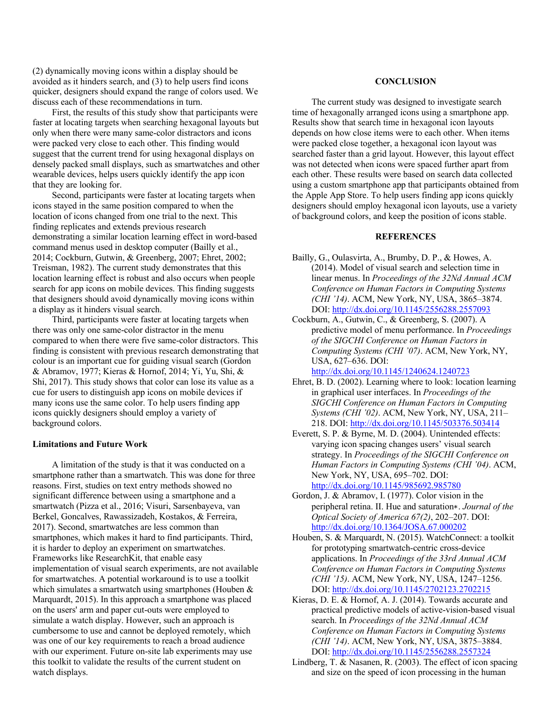(2) dynamically moving icons within a display should be avoided as it hinders search, and (3) to help users find icons quicker, designers should expand the range of colors used. We discuss each of these recommendations in turn.

First, the results of this study show that participants were faster at locating targets when searching hexagonal layouts but only when there were many same-color distractors and icons were packed very close to each other. This finding would suggest that the current trend for using hexagonal displays on densely packed small displays, such as smartwatches and other wearable devices, helps users quickly identify the app icon that they are looking for.

Second, participants were faster at locating targets when icons stayed in the same position compared to when the location of icons changed from one trial to the next. This finding replicates and extends previous research demonstrating a similar location learning effect in word-based command menus used in desktop computer (Bailly et al., 2014; Cockburn, Gutwin, & Greenberg, 2007; Ehret, 2002; Treisman, 1982). The current study demonstrates that this location learning effect is robust and also occurs when people search for app icons on mobile devices. This finding suggests that designers should avoid dynamically moving icons within a display as it hinders visual search.

Third, participants were faster at locating targets when there was only one same-color distractor in the menu compared to when there were five same-color distractors. This finding is consistent with previous research demonstrating that colour is an important cue for guiding visual search (Gordon & Abramov, 1977; Kieras & Hornof, 2014; Yi, Yu, Shi, & Shi, 2017). This study shows that color can lose its value as a cue for users to distinguish app icons on mobile devices if many icons use the same color. To help users finding app icons quickly designers should employ a variety of background colors.

## **Limitations and Future Work**

A limitation of the study is that it was conducted on a smartphone rather than a smartwatch. This was done for three reasons. First, studies on text entry methods showed no significant difference between using a smartphone and a smartwatch (Pizza et al., 2016; Visuri, Sarsenbayeva, van Berkel, Goncalves, Rawassizadeh, Kostakos, & Ferreira, 2017). Second, smartwatches are less common than smartphones, which makes it hard to find participants. Third, it is harder to deploy an experiment on smartwatches. Frameworks like ResearchKit, that enable easy implementation of visual search experiments, are not available for smartwatches. A potential workaround is to use a toolkit which simulates a smartwatch using smartphones (Houben & Marquardt, 2015). In this approach a smartphone was placed on the users' arm and paper cut-outs were employed to simulate a watch display. However, such an approach is cumbersome to use and cannot be deployed remotely, which was one of our key requirements to reach a broad audience with our experiment. Future on-site lab experiments may use this toolkit to validate the results of the current student on watch displays.

# **CONCLUSION**

The current study was designed to investigate search time of hexagonally arranged icons using a smartphone app. Results show that search time in hexagonal icon layouts depends on how close items were to each other. When items were packed close together, a hexagonal icon layout was searched faster than a grid layout. However, this layout effect was not detected when icons were spaced further apart from each other. These results were based on search data collected using a custom smartphone app that participants obtained from the Apple App Store. To help users finding app icons quickly designers should employ hexagonal icon layouts, use a variety of background colors, and keep the position of icons stable.

# **REFERENCES**

- Bailly, G., Oulasvirta, A., Brumby, D. P., & Howes, A. (2014). Model of visual search and selection time in linear menus. In *Proceedings of the 32Nd Annual ACM Conference on Human Factors in Computing Systems (CHI '14)*. ACM, New York, NY, USA, 3865–3874. DOI: http://dx.doi.org/10.1145/2556288.2557093
- Cockburn, A., Gutwin, C., & Greenberg, S. (2007). A predictive model of menu performance. In *Proceedings of the SIGCHI Conference on Human Factors in Computing Systems (CHI '07)*. ACM, New York, NY, USA, 627–636. DOI:

http://dx.doi.org/10.1145/1240624.1240723

- Ehret, B. D. (2002). Learning where to look: location learning in graphical user interfaces. In *Proceedings of the SIGCHI Conference on Human Factors in Computing Systems (CHI '02)*. ACM, New York, NY, USA, 211– 218. DOI: http://dx.doi.org/10.1145/503376.503414
- Everett, S. P. & Byrne, M. D. (2004). Unintended effects: varying icon spacing changes users' visual search strategy. In *Proceedings of the SIGCHI Conference on Human Factors in Computing Systems (CHI '04)*. ACM, New York, NY, USA, 695–702. DOI: http://dx.doi.org/10.1145/985692.985780
- Gordon, J. & Abramov, I. (1977). Color vision in the peripheral retina. II. Hue and saturation∗. *Journal of the Optical Society of America 67(2)*, 202–207. DOI: http://dx.doi.org/10.1364/JOSA.67.000202
- Houben, S. & Marquardt, N. (2015). WatchConnect: a toolkit for prototyping smartwatch-centric cross-device applications. In *Proceedings of the 33rd Annual ACM Conference on Human Factors in Computing Systems (CHI '15)*. ACM, New York, NY, USA, 1247–1256. DOI: http://dx.doi.org/10.1145/2702123.2702215
- Kieras, D. E. & Hornof, A. J. (2014). Towards accurate and practical predictive models of active-vision-based visual search. In *Proceedings of the 32Nd Annual ACM Conference on Human Factors in Computing Systems (CHI '14)*. ACM, New York, NY, USA, 3875–3884. DOI: http://dx.doi.org/10.1145/2556288.2557324
- Lindberg, T. & Nasanen, R. (2003). The effect of icon spacing and size on the speed of icon processing in the human